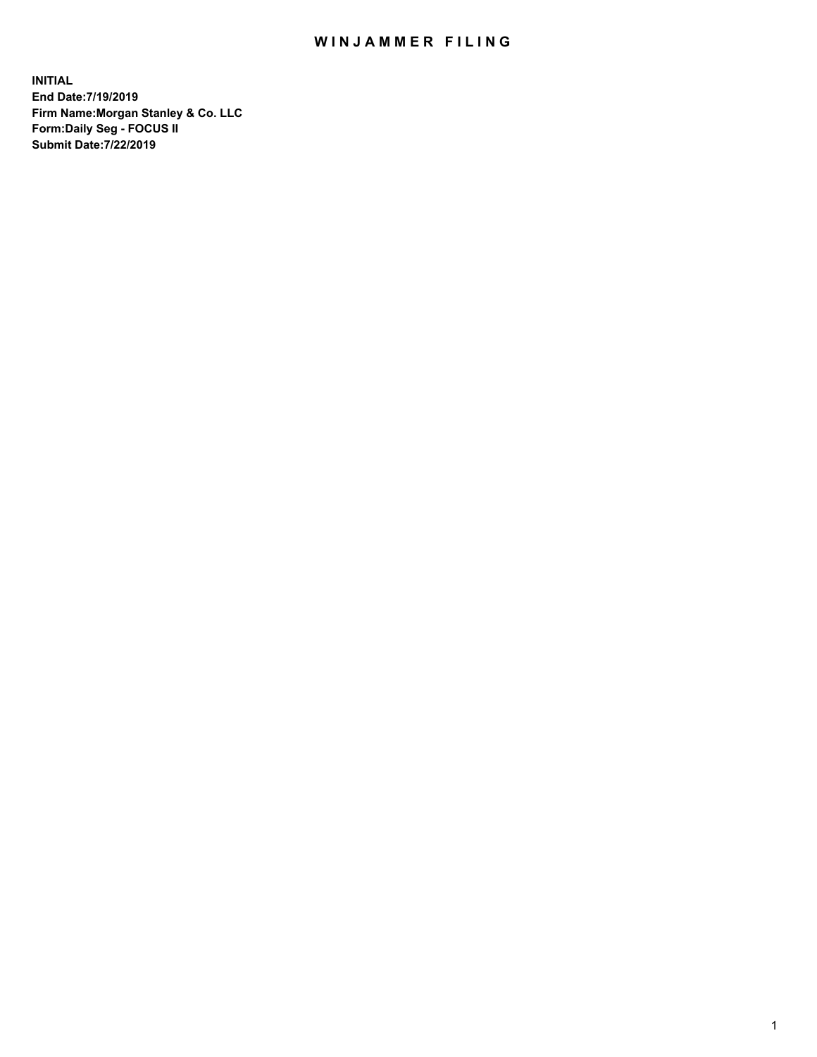## WIN JAMMER FILING

**INITIAL End Date:7/19/2019 Firm Name:Morgan Stanley & Co. LLC Form:Daily Seg - FOCUS II Submit Date:7/22/2019**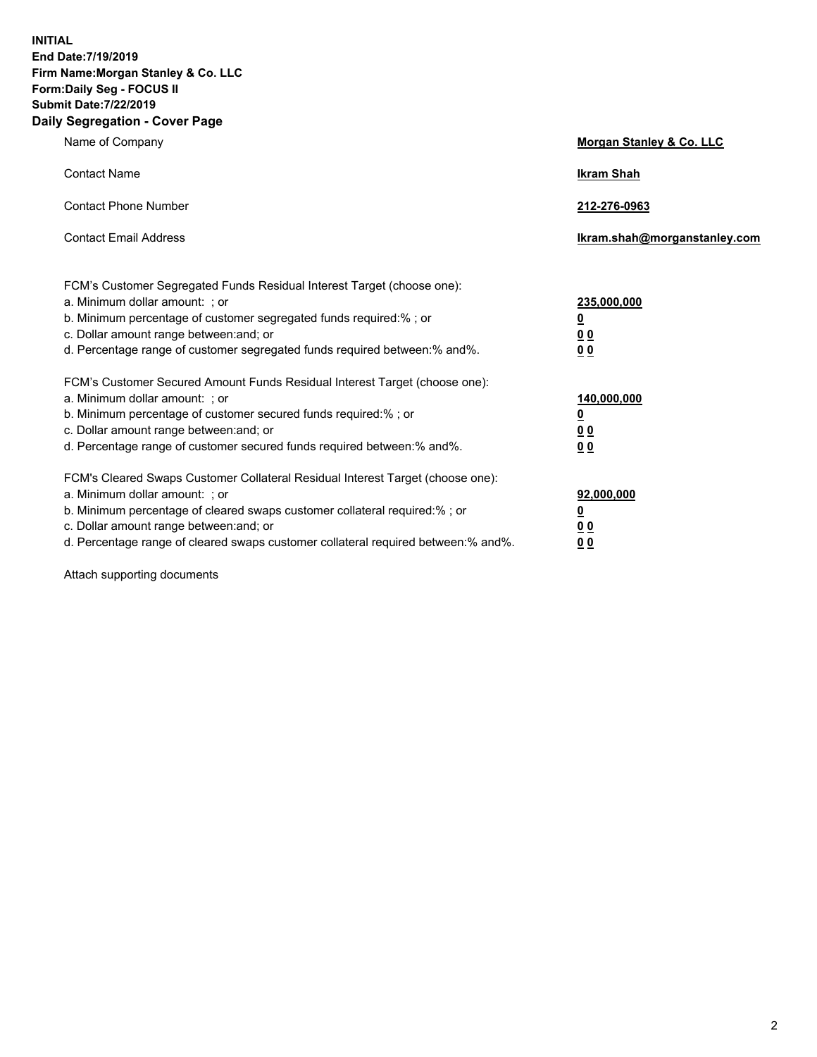**INITIAL End Date:7/19/2019 Firm Name:Morgan Stanley & Co. LLC Form:Daily Seg - FOCUS II Submit Date:7/22/2019 Daily Segregation - Cover Page**

| Name of Company                                                                   | Morgan Stanley & Co. LLC     |
|-----------------------------------------------------------------------------------|------------------------------|
| <b>Contact Name</b>                                                               | <b>Ikram Shah</b>            |
| <b>Contact Phone Number</b>                                                       | 212-276-0963                 |
| <b>Contact Email Address</b>                                                      | Ikram.shah@morganstanley.com |
| FCM's Customer Segregated Funds Residual Interest Target (choose one):            |                              |
| a. Minimum dollar amount: ; or                                                    | 235,000,000                  |
| b. Minimum percentage of customer segregated funds required:% ; or                | <u>0</u>                     |
| c. Dollar amount range between: and; or                                           | <u>0 0</u>                   |
| d. Percentage range of customer segregated funds required between: % and %.       | 00                           |
| FCM's Customer Secured Amount Funds Residual Interest Target (choose one):        |                              |
| a. Minimum dollar amount: ; or                                                    | 140,000,000                  |
| b. Minimum percentage of customer secured funds required:%; or                    | <u>0</u>                     |
| c. Dollar amount range between: and; or                                           | 0 <sub>0</sub>               |
| d. Percentage range of customer secured funds required between:% and%.            | 0 <sub>0</sub>               |
| FCM's Cleared Swaps Customer Collateral Residual Interest Target (choose one):    |                              |
| a. Minimum dollar amount: ; or                                                    | 92,000,000                   |
| b. Minimum percentage of cleared swaps customer collateral required:% ; or        | <u>0</u>                     |
| c. Dollar amount range between: and; or                                           | 0 Q                          |
| d. Percentage range of cleared swaps customer collateral required between:% and%. | 00                           |

Attach supporting documents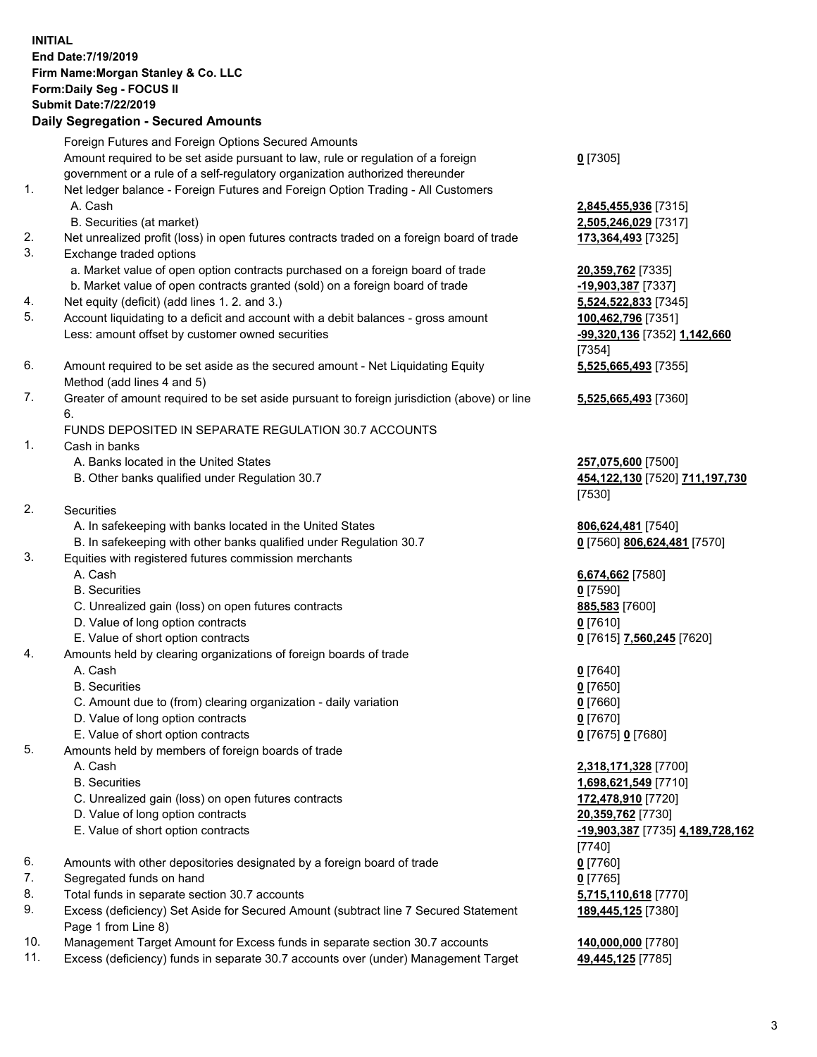## **INITIAL End Date:7/19/2019 Firm Name:Morgan Stanley & Co. LLC Form:Daily Seg - FOCUS II Submit Date:7/22/2019 Daily Segregation - Secured Amounts** Foreign Futures and Foreign Options Secured Amounts Amount required to be set aside pursuant to law, rule or regulation of a foreign government or a rule of a self-regulatory organization authorized thereunder 1. Net ledger balance - Foreign Futures and Foreign Option Trading - All Customers A. Cash **2,845,455,936** [7315] B. Securities (at market) **2,505,246,029** [7317] 2. Net unrealized profit (loss) in open futures contracts traded on a foreign board of trade **173,364,493** [7325] 3. Exchange traded options a. Market value of open option contracts purchased on a foreign board of trade **20,359,762** [7335] b. Market value of open contracts granted (sold) on a foreign board of trade **-19,903,387** [7337] 4. Net equity (deficit) (add lines 1. 2. and 3.) **5,524,522,833** [7345] 5. Account liquidating to a deficit and account with a debit balances - gross amount **100,462,796** [7351] Less: amount offset by customer owned securities **-99,320,136** [7352] **1,142,660** 6. Amount required to be set aside as the secured amount - Net Liquidating Equity Method (add lines 4 and 5) 7. Greater of amount required to be set aside pursuant to foreign jurisdiction (above) or line 6. FUNDS DEPOSITED IN SEPARATE REGULATION 30.7 ACCOUNTS 1. Cash in banks A. Banks located in the United States **257,075,600** [7500] B. Other banks qualified under Regulation 30.7 **454,122,130** [7520] **711,197,730** 2. Securities A. In safekeeping with banks located in the United States **806,624,481** [7540] B. In safekeeping with other banks qualified under Regulation 30.7 **0** [7560] **806,624,481** [7570] 3. Equities with registered futures commission merchants A. Cash **6,674,662** [7580] B. Securities **0** [7590] C. Unrealized gain (loss) on open futures contracts **885,583** [7600] D. Value of long option contracts **0** [7610] E. Value of short option contracts **0** [7615] **7,560,245** [7620] 4. Amounts held by clearing organizations of foreign boards of trade A. Cash **0** [7640] B. Securities **0** [7650]

- C. Amount due to (from) clearing organization daily variation **0** [7660]
- D. Value of long option contracts **0** [7670]
- E. Value of short option contracts **0** [7675] **0** [7680]
- 5. Amounts held by members of foreign boards of trade
	-
	-
	- C. Unrealized gain (loss) on open futures contracts **172,478,910** [7720]
	- D. Value of long option contracts **20,359,762** [7730]
	- E. Value of short option contracts **-19,903,387** [7735] **4,189,728,162**
- 6. Amounts with other depositories designated by a foreign board of trade **0** [7760]
- 7. Segregated funds on hand **0** [7765]
- 8. Total funds in separate section 30.7 accounts **5,715,110,618** [7770]
- 9. Excess (deficiency) Set Aside for Secured Amount (subtract line 7 Secured Statement Page 1 from Line 8)
- 10. Management Target Amount for Excess funds in separate section 30.7 accounts **140,000,000** [7780]
- 11. Excess (deficiency) funds in separate 30.7 accounts over (under) Management Target **49,445,125** [7785]

**0** [7305]

[7354] **5,525,665,493** [7355]

**5,525,665,493** [7360]

[7530]

 A. Cash **2,318,171,328** [7700] B. Securities **1,698,621,549** [7710] [7740] **189,445,125** [7380]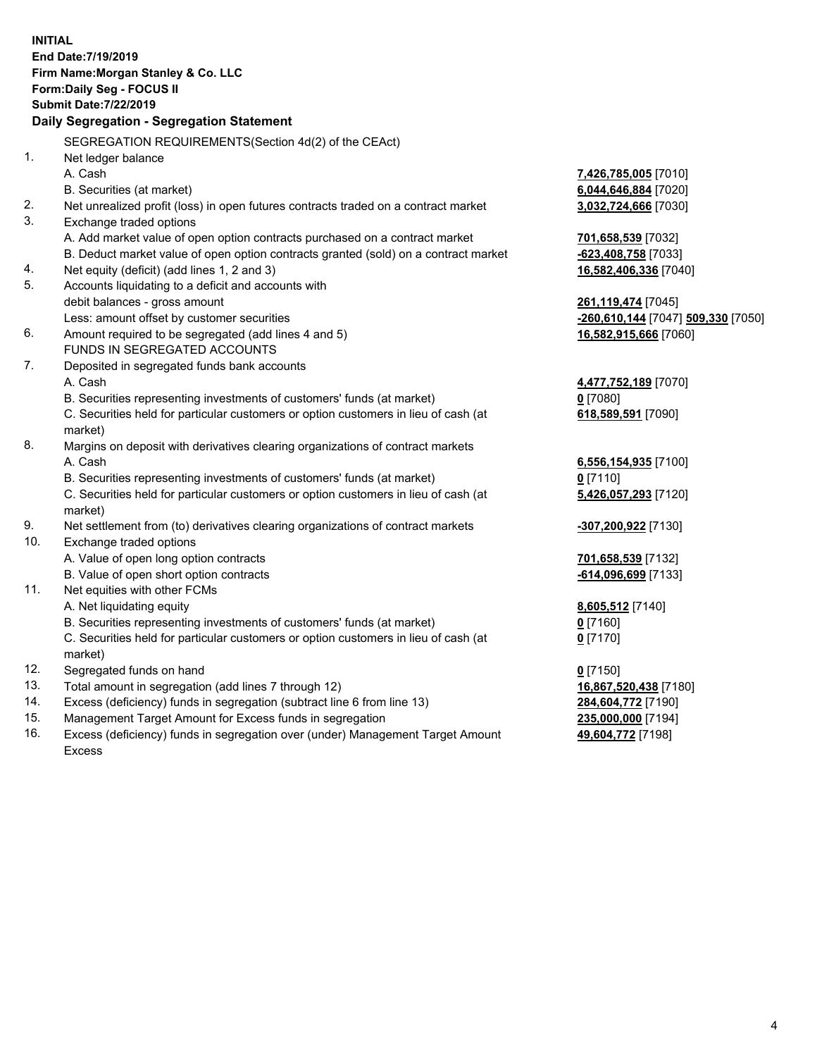**INITIAL End Date:7/19/2019 Firm Name:Morgan Stanley & Co. LLC Form:Daily Seg - FOCUS II Submit Date:7/22/2019 Daily Segregation - Segregation Statement** SEGREGATION REQUIREMENTS(Section 4d(2) of the CEAct) 1. Net ledger balance A. Cash **7,426,785,005** [7010] B. Securities (at market) **6,044,646,884** [7020] 2. Net unrealized profit (loss) in open futures contracts traded on a contract market **3,032,724,666** [7030] 3. Exchange traded options A. Add market value of open option contracts purchased on a contract market **701,658,539** [7032] B. Deduct market value of open option contracts granted (sold) on a contract market **-623,408,758** [7033] 4. Net equity (deficit) (add lines 1, 2 and 3) **16,582,406,336** [7040] 5. Accounts liquidating to a deficit and accounts with debit balances - gross amount **261,119,474** [7045] Less: amount offset by customer securities **-260,610,144** [7047] **509,330** [7050] 6. Amount required to be segregated (add lines 4 and 5) **16,582,915,666** [7060] FUNDS IN SEGREGATED ACCOUNTS 7. Deposited in segregated funds bank accounts A. Cash **4,477,752,189** [7070] B. Securities representing investments of customers' funds (at market) **0** [7080] C. Securities held for particular customers or option customers in lieu of cash (at market) **618,589,591** [7090] 8. Margins on deposit with derivatives clearing organizations of contract markets A. Cash **6,556,154,935** [7100] B. Securities representing investments of customers' funds (at market) **0** [7110] C. Securities held for particular customers or option customers in lieu of cash (at market) **5,426,057,293** [7120] 9. Net settlement from (to) derivatives clearing organizations of contract markets **-307,200,922** [7130] 10. Exchange traded options A. Value of open long option contracts **701,658,539** [7132] B. Value of open short option contracts **-614,096,699** [7133] 11. Net equities with other FCMs A. Net liquidating equity **8,605,512** [7140] B. Securities representing investments of customers' funds (at market) **0** [7160] C. Securities held for particular customers or option customers in lieu of cash (at market) **0** [7170] 12. Segregated funds on hand **0** [7150] 13. Total amount in segregation (add lines 7 through 12) **16,867,520,438** [7180] 14. Excess (deficiency) funds in segregation (subtract line 6 from line 13) **284,604,772** [7190] 15. Management Target Amount for Excess funds in segregation **235,000,000** [7194]

16. Excess (deficiency) funds in segregation over (under) Management Target Amount Excess

**49,604,772** [7198]